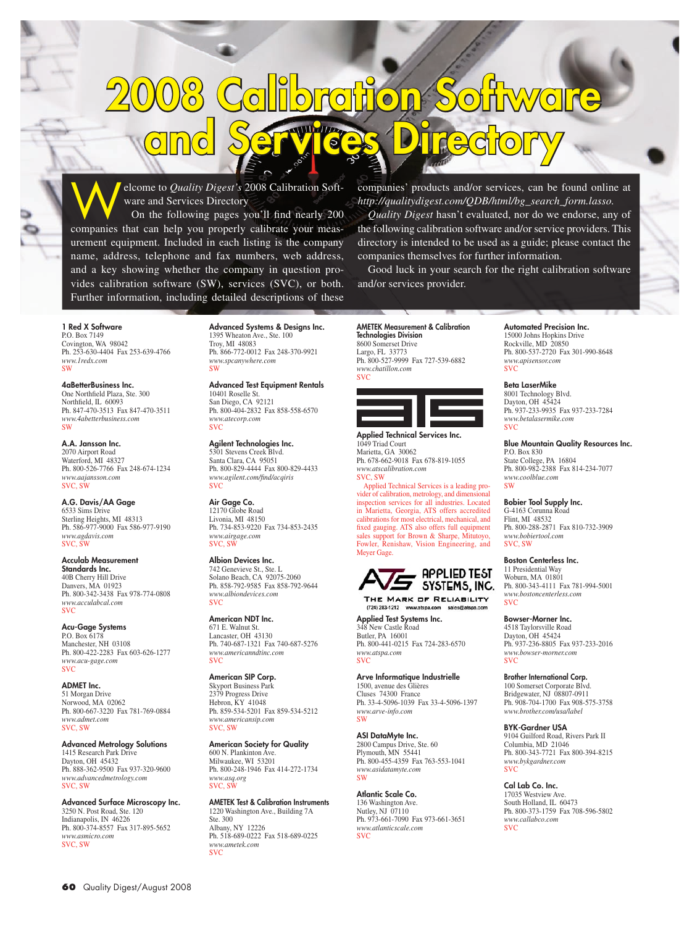## 2008 Calibration Software and Services Directory

elcome to *Quality Digest's* 2008 Calibration Software and Services Directory

On the following pages you'll find nearly 200 companies that can help you properly calibrate your measurement equipment. Included in each listing is the company name, address, telephone and fax numbers, web address, and a key showing whether the company in question provides calibration software (SW), services (SVC), or both. Further information, including detailed descriptions of these companies' products and/or services, can be found online at *http://qualitydigest.com/QDB/html/bg\_search\_form.lasso.*

*Quality Digest* hasn't evaluated, nor do we endorse, any of the following calibration software and/or service providers. This directory is intended to be used as a guide; please contact the companies themselves for further information.

Good luck in your search for the right calibration software and/or services provider.

## 1 Red X Software P.O. Box 7149 Covington, WA 98042 Ph. 253-630-4404 Fax 253-639-4766 *www.1redx.com* SW

4aBetterBusiness Inc. One Northfield Plaza, Ste. 300 Northfield, IL 60093 Ph. 847-470-3513 Fax 847-470-3511 *www.4abetterbusiness.com* SW

## A.A. Jansson Inc. 2070 Airport Road Waterford, MI 48327 Ph. 800-526-7766 Fax 248-674-1234 *www.aajansson.com* SVC, SW

A.G. Davis/AA Gage 6533 Sims Drive Sterling Heights, MI 48313 Ph. 586-977-9000 Fax 586-977-9190 *www.agdavis.com* SVC, SW

Acculab Measurement Standards Inc. 40B Cherry Hill Drive Danvers, MA 01923 Ph. 800-342-3438 Fax 978-774-0808 *www.acculabcal.com* SVC

Acu-Gage Systems P.O. Box 6178 Manchester, NH 03108 Ph. 800-422-2283 Fax 603-626-1277 *www.acu-gage.com* SVC

ADMET Inc. 51 Morgan Drive Norwood, MA 02062 Ph. 800-667-3220 Fax 781-769-0884 *www.admet.com* SVC, SW

Advanced Metrology Solutions 1415 Research Park Drive Dayton, OH 45432 Ph. 888-362-9500 Fax 937-320-9600 *www.advancedmetrology.com* SVC, SW

Advanced Surface Microscopy Inc. 3250 N. Post Road, Ste. 120 Indianapolis, IN 46226 Ph. 800-374-8557 Fax 317-895-5652 *www.asmicro.com* SVC, SW

Advanced Systems & Designs Inc. 1395 Wheaton Ave., Ste. 100 Troy, MI 48083 Ph. 866-772-0012 Fax 248-370-9921 *www.spcanywhere.com* SW

Advanced Test Equipment Rentals 10401 Roselle St. San Diego, CA 92121 Ph. 800-404-2832 Fax 858-558-6570 *www.atecorp.com* SVC

Agilent Technologies Inc. 5301 Stevens Creek Blvd. Santa Clara, CA 95051 Ph. 800-829-4444 Fax 800-829-4433 *www.agilent.com/find/acqiris* **SVC** 

Air Gage Co. 12170 Globe Road Livonia, MI 48150 Ph. 734-853-9220 Fax 734-853-2435 *www.airgage.com* SVC, SW

Albion Devices Inc. 742 Genevieve St., Ste. L Solano Beach, CA 92075-2060 Ph. 858-792-9585 Fax 858-792-9644 *www.albiondevices.com* SVC

American NDT Inc. 671 E. Walnut St. Lancaster, OH 43130 Ph. 740-687-1321 Fax 740-687-5276 *www.americanndtinc.com* SVC

American SIP Corp. Skyport Business Park 2379 Progress Drive Hebron, KY 41048 Ph. 859-534-5201 Fax 859-534-5212 *www.americansip.com* SVC, SW

American Society for Quality 600 N. Plankinton Ave. Milwaukee, WI 53201 Ph. 800-248-1946 Fax 414-272-1734 *www.asq.org* SVC, SW

AMETEK Test & Calibration Instruments 1220 Washington Ave., Building 7A Ste. 300 Albany, NY 12226 Ph. 518-689-0222 Fax 518-689-0225 *www.ametek.com* **SVC** 

AMETEK Measurement & Calibration Technologies Division 8600 Somerset Drive Largo, FL 33773 Ph. 800-527-9999 Fax 727-539-6882 *www.chatillon.com* **SVC** 



Applied Technical Services Inc. 1049 Triad Court Marietta, GA 30062 Ph. 678-662-9018 Fax 678-819-1055 *www.atscalibration.com*  SVC, SW

Applied Technical Services is a leading provider of calibration, metrology, and dimensional inspection services for all industries. Located in Marietta, Georgia, ATS offers accredited calibrations for most electrical, mechanical, and fixed gauging. ATS also offers full equipment sales support for Brown & Sharpe, Mitutoyo, Fowler, Renishaw, Vision Engineering, and Meyer Gage.



THE MARK OF RELIABILITY  $(724)$  283-1212 w

Applied Test Systems Inc. 348 New Castle Road Butler, PA 16001 Ph. 800-441-0215 Fax 724-283-6570 *www.atspa.com* SVC

Arve Informatique Industrielle 1500, avenue des Glières Cluses 74300 France Ph. 33-4-5096-1039 Fax 33-4-5096-1397 *www.arve-info.com* SW

**ASI DataMyte Inc.**<br>2800 Campus Drive, Ste. 60 Plymouth, MN 55441 Ph. 800-455-4359 Fax 763-553-1041 *www.asidatamyte.com* SW

Atlantic Scale Co. 136 Washington Ave. Nutley, NJ 07110 Ph. 973-661-7090 Fax 973-661-3651 *www.atlanticscale.com*  $SVC$ 

Automated Precision Inc. 15000 Johns Hopkins Drive Rockville, MD 20850 Ph. 800-537-2720 Fax 301-990-8648 *www.apisensor.com* **SVC** 

## Beta LaserMike

8001 Technology Blvd. Dayton, OH 45424 Ph. 937-233-9935 Fax 937-233-7284 *www.betalasermike.com* SVC

Blue Mountain Quality Resources Inc. P.O. Box 830 State College, PA 16804 Ph. 800-982-2388 Fax 814-234-7077

*www.coolblue.com* SW

Bobier Tool Supply Inc. G-4163 Corunna Road

Flint, MI 48532 Ph. 800-288-2871 Fax 810-732-3909 *www.bobiertool.com* SVC, SW

Boston Centerless Inc.

11 Presidential Way Woburn, MA 01801 Ph. 800-343-4111 Fax 781-994-5001 *www.bostoncenterless.com* **SVC** 

Bowser-Morner Inc.

4518 Taylorsville Road Dayton, OH 45424 Ph. 937-236-8805 Fax 937-233-2016 *www.bowser-morner.com* SVC

Brother International Corp.

100 Somerset Corporate Blvd. Bridgewater, NJ 08807-0911 Ph. 908-704-1700 Fax 908-575-3758 *www.brother.com/usa/label*

BYK-Gardner USA

9104 Guilford Road, Rivers Park II Columbia, MD 21046 Ph. 800-343-7721 Fax 800-394-8215 *www.bykgardner.com* SVC

Cal Lab Co. Inc. 17035 Westview Ave. South Holland, IL 60473 Ph. 800-373-1759 Fax 708-596-5802 *www.callabco.com* SVC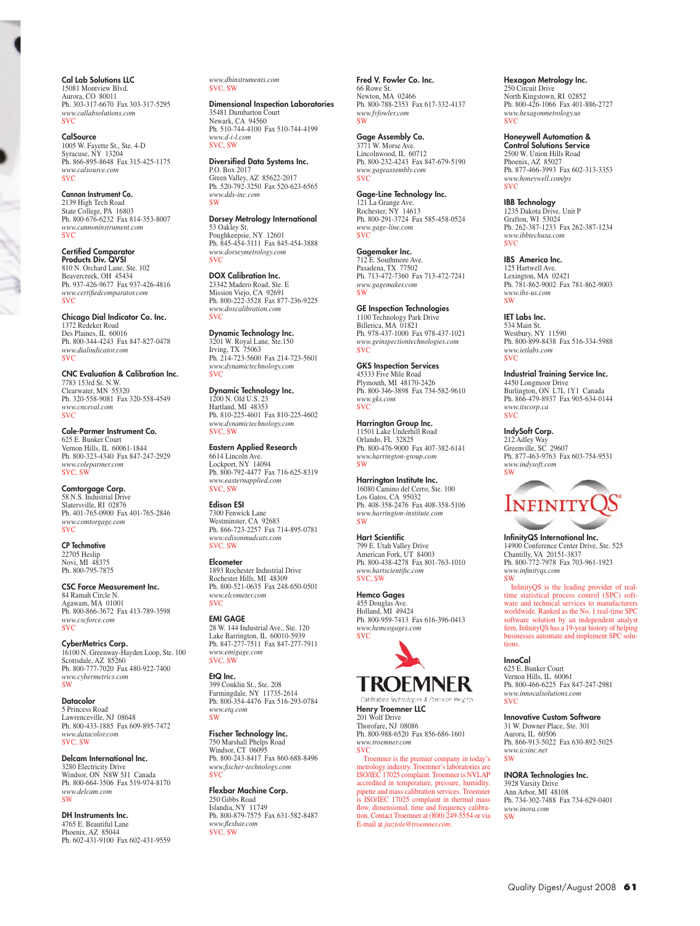Cal Lab Solutions LLC 15081 Montview Blvd. Aurora, CO 80011 Ph. 303-317-6670 Fax 303-317-5295 *www.callabsolutions.com* SVC

CalSource 1005 W. Fayette St., Ste. 4-D Syracuse, NY 13204 Ph. 866-895-8648 Fax 315-425-1175 *www.calsource.com* SVC

Cannon Instrument Co. 2139 High Tech Road State College, PA 16803 Ph. 800-676-6232 Fax 814-353-8007 *www.cannoninstrument.com* SVC

Certified Comparator Products Div. QVSI 810 N. Orchard Lane, Ste. 102 Beavercreek, OH 45434 Ph. 937-426-9677 Fax 937-426-4816 *www.certifiedcomparator.com* **SVC** 

Chicago Dial Indicator Co. Inc. 1372 Redeker Road Des Plaines, IL 60016 Ph. 800-344-4243 Fax 847-827-0478 *www.dialindicator.com* SVC

CNC Evaluation & Calibration Inc. 7783 153rd St. N.W. Clearwater, MN 55320 Ph. 320-558-9081 Fax 320-558-4549 *www.cnceval.com* **SVC** 

Cole-Parmer Instrument Co. 625 E. Bunker Court Vernon Hills, IL 60061-1844 Ph. 800-323-4340 Fax 847-247-2929 *www.coleparmer.com* SVC, SW

**Comtorgage Corp.**<br>58 N.S. Industrial Drive Slatersville, RI 02876 Ph. 401-765-0900 Fax 401-765-2846 *www.comtorgage.com* SVC

CP Techmotive 22705 Heslip Novi, MI 48375 Ph. 800-795-7875

CSC Force Measurement Inc. 84 Ramah Circle N. Agawam, MA 01001 Ph. 800-866-3672 Fax 413-789-3598 *www.cscforce.com* SVC

CyberMetrics Corp. 16100 N. Greenway-Hayden Loop, Ste. 100 Scottsdale, AZ 85260 Ph. 800-777-7020 Fax 480-922-7400 *www.cybermetrics.com* SW

Datacolor 5 Princess Road Lawrenceville, NJ 08648

Ph. 800-433-1885 Fax 609-895-7472 *www.datacolor.com* SVC, SW

Delcam International Inc. 3280 Electricity Drive Windsor, ON N8W 5J1 Canada Ph. 800-664-3506 Fax 519-974-8170 *www.delcam.com* SW

DH Instruments Inc. 4765 E. Beautiful Lane Phoenix, AZ 85044 Ph. 602-431-9100 Fax 602-431-9559 *www.dhinstruments.com* SVC, SW

Dimensional Inspection Laboratories 35481 Dumbarton Court Newark, CA 94560 Ph. 510-744-4100 Fax 510-744-4199 *www.d-i-l.com* SVC, SW

**Diversified Data Systems Inc.**<br>P.O. Box 2017 Green Valley, AZ 85622-2017 Ph. 520-792-3250 Fax 520-623-6565 *www.dds-inc.com* SW

Dorsey Metrology International 53 Oakley St. Poughkeepsie, NY 12601 Ph. 845-454-3111 Fax 845-454-3888 *www.dorseymetrology.com* SVC

DOX Calibration Inc. 23342 Madero Road, Ste. E Mission Viejo, CA 92691 Ph. 800-222-3528 Fax 877-236-9225 *www.doxcalibration.com* **SVC** 

Dynamic Technology Inc. 3201 W. Royal Lane, Ste.150 Irving, TX 75063 Ph. 214-723-5600 Fax 214-723-5601 *www.dynamictechnology.com* SVC

**Dynamic Technology Inc.**<br>1200 N. Old U.S. 23 Hartland, MI 48353 Ph. 810-225-4601 Fax 810-225-4602 *www.dynamictechnology.com* svc, sw

Eastern Applied Research 6614 Lincoln Ave. Lockport, NY 14094 Ph. 800-792-4477 Fax 716-625-8319 *www.easternapplied.com* SVC, SW

Edison ESI 7300 Fenwick Lane Westminster, CA 92683 Ph. 866-723-2257 Fax 714-895-0781 *www.edisonmudcats.com* SVC, SW

**Elcometer** 1893 Rochester Industrial Drive Rochester Hills, MI 48309 Ph. 800-521-0635 Fax 248-650-0501 *www.elcometer.com*

SVC **EMI GAGE**<br>28 W. 144 Industrial Ave., Ste. 120 Lake Barrington, IL 60010-5939 Ph. 847-277-7511 Fax 847-277-7911 *www.emigage.com* SVC, SW

399 Conklin St., Ste. 208 Farmingdale, NY 11735-2614 Ph. 800-354-4476 Fax 516-293-0784 *www.etq.com* **SW** 

EtQ Inc.

Fischer Technology Inc. 750 Marshall Phelps Road Windsor, CT 06095 Ph. 800-243-8417 Fax 860-688-8496 *www.fischer-technology.com*  SVC

Flexbar Machine Corp. 250 Gibbs Road Islandia, NY 11749 Ph. 800-879-7575 Fax 631-582-8487 *www.flexbar.com* SVC, SW

Fred V. Fowler Co. Inc. 66 Rowe St. Newton, MA 02466 Ph. 800-788-2353 Fax 617-332-4137 *www.fvfowler.com* SW

Gage Assembly Co. 3771 W. Morse Ave. Lincolnwood, IL 60712 Ph. 800-232-4243 Fax 847-679-5190 *www.gageassembly.com* SVC

Gage-Line Technology Inc. 121 La Grange Ave. Rochester, NY 14613 Ph. 800-291-3724 Fax 585-458-0524 *www.gage-line.com* SVC

**Gagemaker Inc.**<br>712 E. Southmore Ave. Pasadena, TX 77502 Ph. 713-472-7360 Fax 713-472-7241 *www.gagemaker.com* **CW** 

GE Inspection Technologies 1100 Technology Park Drive Billerica, MA 01821 Ph. 978-437-1000 Fax 978-437-1021 *www.geinspectiontechnologies.com* SVC

GKS Inspection Services 45333 Five Mile Road Plymouth, MI 48170-2426 Ph. 800-346-3898 Fax 734-582-9610 *www.gks.com* SVC

Harrington Group Inc.<br>11501 Lake Underhill Road Orlando, FL 32825 Ph. 800-476-9000 Fax 407-382-6141 *www.harrington-group.com* SW

Harrington Institute Inc. 16080 Camino del Cerro, Ste. 100 Los Gatos, CA 95032 Ph. 408-358-2476 Fax 408-358-5106 *www.harrington-institute.com* SW

Hart Scientific 799 E. Utah Valley Drive American Fork, UT 84003 Ph. 800-438-4278 Fax 801-763-1010 *www.hartscientific.com* SVC, SW

Hemco Gages 455 Douglas Ave. Holland, MI 49424 Ph. 800-959-7413 Fax 616-396-0413 *www.hemcogages.com* SVC



Precision Weights Calibration Technologies **Henry Troemner LLC**<br>201 Wolf Drive<br>Thorofare, NJ 08086 Ph. 800-988-6520 Fax 856-686-1601 *www.troemner.com*

SVC Troemner is the premier company in today's metrology industry. Troemner's laboratories are ISO/IEC 17025 complaint. Troemner is NVLAP accredited in temperature, pressure, humidity, pipette and mass calibration services. Troemner is ISO/IEC 17025 complaint in thermal mass flow, dimensional, time and frequency calibration. Contact Troemner at (800) 249-5554 or via E-mail at *jtaziole@troemner.com*.

Hexagon Metrology Inc.

250 Circuit Drive North Kingstown, RI 02852 Ph. 800-426-1066 Fax 401-886-2727 *www.hexagonmetrology.us* SVC

Honeywell Automation & Control Solutions Service

2500 W. Union Hills Road Phoenix, AZ 85027 Ph. 877-466-3993 Fax 602-313-3353 *www.honeywell.com/ps* SVC

**IBB Technology**<br>1235 Dakota Drive, Unit P Grafton, WI 53024 Ph. 262-387-1233 Fax 262-387-1234 *www.ibbtechusa.com* SVC

IBS America Inc. 125 Hartwell Ave. Lexington, MA 02421

Ph. 781-862-9002 Fax 781-862-9003 *www.ibs-us.com* **SW** 

IET Labs Inc. 534 Main St. Westbury, NY 11590 Ph. 800-899-8438 Fax 516-334-5988 *www.ietlabs.com* SVC

Industrial Training Service Inc. 4450 Longmoor Drive

Burlington, ON L7L 1Y1 Canada Ph. 866-479-8937 Fax 905-634-0144 *www.itscorp.ca* **SVC** 

IndySoft Corp.

212 Adley Way Greenville, SC 29607 Ph. 877-463-9763 Fax 603-754-9531 *www.indysoft.com* SW



InfinityQS International Inc. 14900 Conference Center Drive, Ste. 525 Chantilly, VA 20151-3837 Ph. 800-772-7978 Fax 703-961-1923 *www.infinityqs.com* SW

InfinityQS is the leading provider of real-time statistical process control (SPC) software and technical services to manufacturers worldwide. Ranked as the No. 1 real-time SPC software solution by an independent analyst firm, InfinityQS has a 19-year history of helping businesses automate and implement SPC solutions.

InnoCal

625 E. Bunker Court Vernon Hills, IL 60061 Ph. 800-466-6225 Fax 847-247-2981 *www.innocalsolutions.com* SVC

Innovative Custom Software

31 W. Downer Place, Ste. 301 Aurora, IL 60506 Ph. 866-913-5022 Fax 630-892-5025 *www.icsinc.net* SW

INORA Technologies Inc.

3928 Varsity Drive Ann Arbor, MI 48108 Ph. 734-302-7488 Fax 734-629-0401 *www.inora.com* **SW**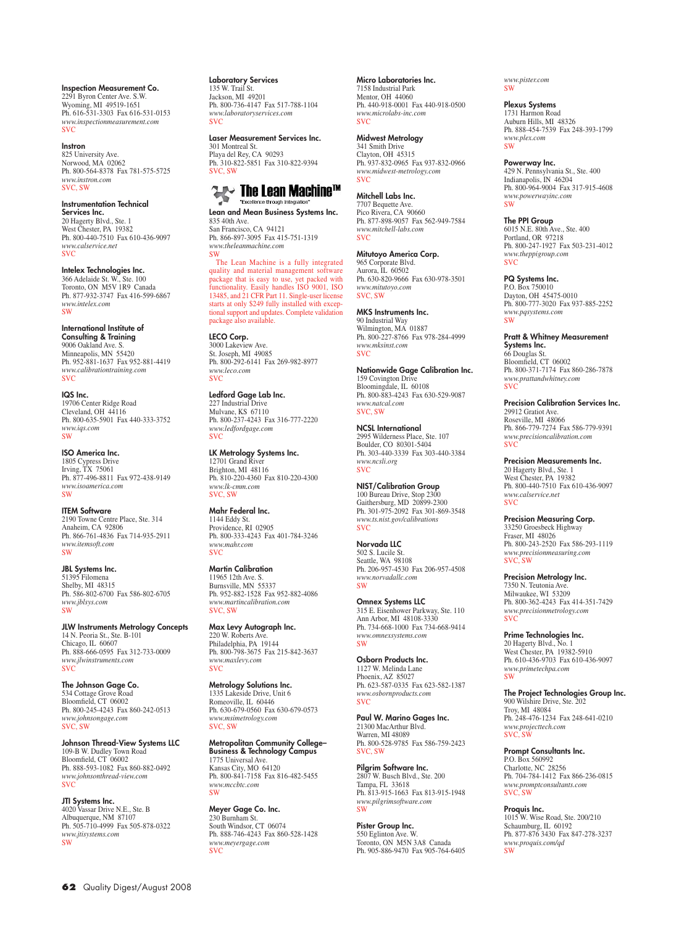Inspection Measurement Co. 2291 Byron Center Ave. S.W. Wyoming, MI 49519-1651 Ph. 616-531-3303 Fax 616-531-0153 *www.inspectionmeasurement.com*  $SVC$ 

Instron 825 University Ave. Norwood, MA 02062 Ph. 800-564-8378 Fax 781-575-5725 *www.instron.com* SVC, SW

Instrumentation Technical Services Inc. 20 Hagerty Blvd., Ste. 1 West Chester, PA 19382 Ph. 800-440-7510 Fax 610-436-9097 *www.calservice.net* SVC

**Intelex Technologies Inc.**<br>366 Adelaide St. W., Ste. 100 Toronto, ON M5V 1R9 Canada Ph. 877-932-3747 Fax 416-599-6867 *www.intelex.com* SW

International Institute of Consulting & Training 9006 Oakland Ave. S. Minneapolis, MN 55420 Ph. 952-881-1637 Fax 952-881-4419 *www.calibrationtraining.com* **SVC** 

IQS Inc. 19706 Center Ridge Road Cleveland, OH 44116 Ph. 800-635-5901 Fax 440-333-3752 *www.iqs.com* SW

ISO America Inc. 1805 Cypress Drive Irving, TX 75061 Ph. 877-496-8811 Fax 972-438-9149 *www.isoamerica.com* SW

ITEM Software 2190 Towne Centre Place, Ste. 314 Anaheim, CA 92806 Ph. 866-761-4836 Fax 714-935-2911 *www.itemsoft.com* SW

**JBL Systems Inc.**<br>51395 Filomena Shelby, MI 48315 Ph. 586-802-6700 Fax 586-802-6705 *www.jblsys.com* **SW** 

JLW Instruments Metrology Concepts 14 N. Peoria St., Ste. B-101 Chicago, IL 60607 Ph. 888-666-0595 Fax 312-733-0009 *www.jlwinstruments.com* **SVC** 

The Johnson Gage Co. 534 Cottage Grove Road Bloomfield, CT 06002 Ph. 800-245-4243 Fax 860-242-0513 *www.johnsongage.com* SVC, SW

**Johnson Thread-View Systems LLC**<br>109-B W. Dudley Town Road<br>Bloomfield, CT 06002 Ph. 888-593-1082 Fax 860-882-0492 *www.johnsonthread-view.com* SVC

JTI Systems Inc. 4020 Vassar Drive N.E., Ste. B Albuquerque, NM 87107 Ph. 505-710-4999 Fax 505-878-0322 *www.jtisystems.com* SW

**Laboratory Services**<br>135 W. Trail St.

Jackson, MI 49201 Ph. 800-736-4147 Fax 517-788-1104 *www.laboratoryservices.com* **SVC** 

Laser Measurement Services Inc. 301 Montreal St. Playa del Rey, CA 90293 Ph. 310-822-5851 Fax 310-822-9394 SVC, SW



Lean and Mean Business Systems Inc. 835 40th Ave. San Francisco, CA 94121 Ph. 866-897-3095 Fax 415-751-1319 *www.theleanmachine.com*

SW The Lean Machine is a fully integrated quality and material management software package that is easy to use, yet packed with functionality. Easily handles ISO 9001, ISO 13485, and 21 CFR Part 11. Single-user license starts at only \$249 fully installed with excep-tional support and updates. Complete validation

package also available. **LECO Corp.**<br>3000 Lakeview Ave. St. Joseph, MI 49085 Ph. 800-292-6141 Fax 269-982-8977 *www.leco.com* **SVC** 

Ledford Gage Lab Inc. 227 Industrial Drive Mulvane, KS 67110 Ph. 800-237-4243 Fax 316-777-2220 *www.ledfordgage.com* SVC

**LK Metrology Systems Inc.**<br>12701 Grand River Brighton, MI 48116 Ph. 810-220-4360 Fax 810-220-4300 *www.lk-cmm.com* SVC, SW

Mahr Federal Inc. 1144 Eddy St. Providence, RI 02905 Ph. 800-333-4243 Fax 401-784-3246 *www.mahr.com* SVC

Martin Calibration 11965 12th Ave. S. Burnsville, MN 55337 Ph. 952-882-1528 Fax 952-882-4086 *www.martincalibration.com* SVC, SW

**Max Levy Autograph Inc.**<br>220 W. Roberts Ave. Philadelphia, PA 19144 Ph. 800-798-3675 Fax 215-842-3637 *www.maxlevy.com* SVC

Metrology Solutions Inc. 1335 Lakeside Drive, Unit 6 Romeoville, IL 60446 Ph. 630-679-0560 Fax 630-679-0573 *www.msimetrology.com* SVC, SW

Metropolitan Community College– **Business & Technology Campus**<br>1775 Universal Ave. Kansas City, MO 64120 Ph. 800-841-7158 Fax 816-482-5455 *www.mccbtc.com* SW

**Meyer Gage Co. Inc.**<br>230 Burnham St. South Windsor, CT 06074 Ph. 888-746-4243 Fax 860-528-1428 *www.meyergage.com* SVC

Micro Laboratories Inc. 7158 Industrial Park Mentor, OH 44060 Ph. 440-918-0001 Fax 440-918-0500 *www.microlabs-inc.com* **SVC** 

Midwest Metrology 341 Smith Drive Clayton, OH 45315 Ph. 937-832-0965 Fax 937-832-0966 *www.midwest-metrology.com* SVC

Mitchell Labs Inc. 7707 Bequette Ave. Pico Rivera, CA 90660 Ph. 877-898-9057 Fax 562-949-7584 *www.mitchell-labs.com* SVC

**Mitutoyo America Corp.**<br>965 Corporate Blvd. Aurora, IL 60502 Ph. 630-820-9666 Fax 630-978-3501 *www.mitutoyo.com* SVC, SW

MKS Instruments Inc. 90 Industrial Way Wilmington, MA 01887 Ph. 800-227-8766 Fax 978-284-4999 *www.mksinst.com* **SVC** 

Nationwide Gage Calibration Inc. 159 Covington Drive Bloomingdale, IL 60108 Ph. 800-883-4243 Fax 630-529-9087 *www.natcal.com* SVC, SW

NCSL International 2995 Wilderness Place, Ste. 107 Boulder, CO 80301-5404 Ph. 303-440-3339 Fax 303-440-3384 *www.ncsli.org* SVC

NIST/Calibration Group 100 Bureau Drive, Stop 2300 Gaithersburg, MD 20899-2300 Ph. 301-975-2092 Fax 301-869-3548 *www.ts.nist.gov/calibrations* SVC

Norvada LLC 502 S. Lucile St. Seattle, WA 98108 Ph. 206-957-4530 Fax 206-957-4508 *www.norvadallc.com* **CW** 

**Omnex Systems LLC**<br>315 E. Eisenhower Parkway, Ste. 110 Ann Arbor, MI 48108-3330 Ph. 734-668-1000 Fax 734-668-9414 *www.omnexsystems.com* **SW** 

Osborn Products Inc. 1127 W. Melinda Lane Phoenix, AZ 85027 Ph. 623-587-0335 Fax 623-582-1387 *www.osbornproducts.com* **SVC** 

Paul W. Marino Gages Inc. 21300 MacArthur Blvd. Warren, MI 48089 Ph. 800-528-9785 Fax 586-759-2423 SVC, SW

Pilgrim Software Inc. 2807 W. Busch Blvd., Ste. 200 Tampa, FL 33618 Ph. 813-915-1663 Fax 813-915-1948 *www.pilgrimsoftware.com* SW

Pister Group Inc.<br>550 Eglinton Ave. W. Toronto, ON M5N 3A8 Canada Ph. 905-886-9470 Fax 905-764-6405

*www.pister.com* SW

Plexus Systems

1731 Harmon Road Auburn Hills, MI 48326 Ph. 888-454-7539 Fax 248-393-1799 *www.plex.com* **SW** 

Powerway Inc. 429 N. Pennsylvania St., Ste. 400 Indianapolis, IN 46204 Ph. 800-964-9004 Fax 317-915-4608 *www.powerwayinc.com* SW

**The PPI Group**<br>6015 N.E. 80th Ave., Ste. 400 Portland, OR 97218 Ph. 800-247-1927 Fax 503-231-4012 *www.theppigroup.com* **SVC** 

PQ Systems Inc. P.O. Box 750010 Dayton, OH 45475-0010 Ph. 800-777-3020 Fax 937-885-2252

*www.pqsystems.com* SW Pratt & Whitney Measurement **Systems Inc.**<br>66 Douglas St.

Bloomfield, CT 06002 Ph. 800-371-7174 Fax 860-286-7878 *www.prattandwhitney.com* SVC

Precision Calibration Services Inc. 29912 Gratiot Ave. Roseville, MI 48066 Ph. 866-779-7274 Fax 586-779-9391 *www.precisioncalibration.com* SVC

Precision Measurements Inc. 20 Hagerty Blvd., Ste. 1 West Chester, PA 19382 Ph. 800-440-7510 Fax 610-436-9097 *www.calservice.net*  $SVC$ 

Precision Measuring Corp. 33250 Groesbeck Highway Fraser, MI 48026 Ph. 800-243-2520 Fax 586-293-1119 *www.precisionmeasuring.com* SVC, SW

Precision Metrology Inc. 7350 N. Teutonia Ave. Milwaukee, WI 53209 Ph. 800-362-4243 Fax 414-351-7429 *www.precisionmetrology.com* SVC

Prime Technologies Inc. 20 Hagerty Blvd., No. 1 West Chester, PA 19382-5910 Ph. 610-436-9703 Fax 610-436-9097 *www.primetechpa.com*  SW

**The Project Technologies Group Inc.**<br>900 Wilshire Drive, Ste. 202 Troy, MI 48084 Ph. 248-476-1234 Fax 248-641-0210 *www.projecttech.com* SVC, SW

Prompt Consultants Inc. P.O. Box 560992 Charlotte, NC 28256 Ph. 704-784-1412 Fax 866-236-0815 *www.promptconsultants.com* SVC, SW

Proquis Inc. 1015 W. Wise Road, Ste. 200/210 Schaumburg, IL 60192 Ph. 877-876 3430 Fax 847-278-3237 *www.proquis.com/qd* SW